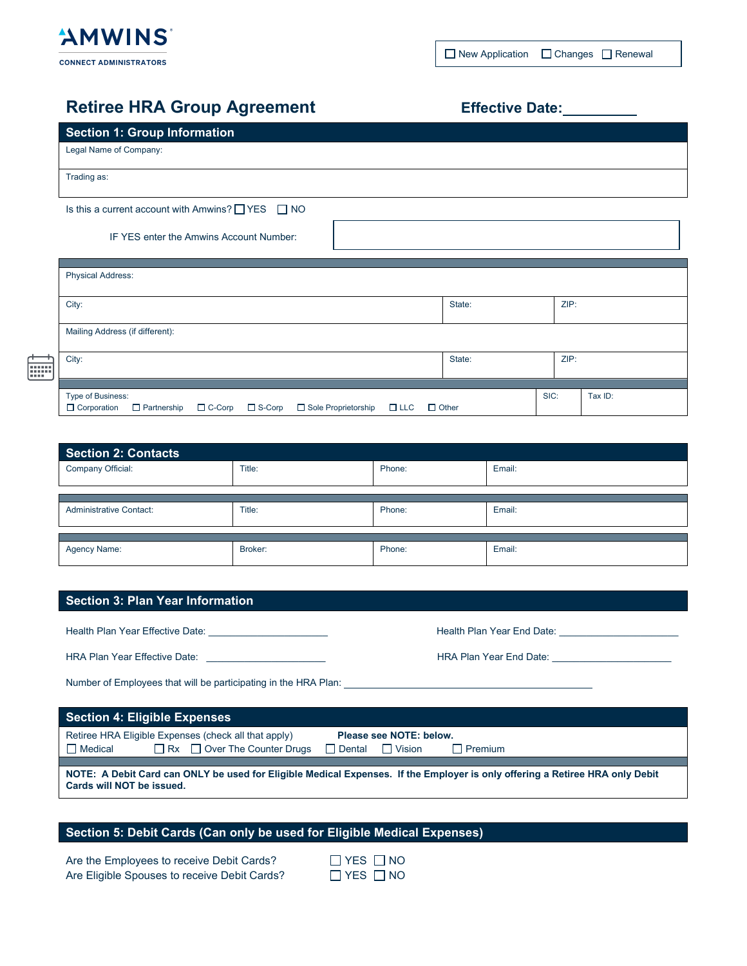

# **Retiree HRA Group Agreement Effective Date:**

| <b>Section 1: Group Information</b>                                           |  |
|-------------------------------------------------------------------------------|--|
| Legal Name of Company:                                                        |  |
| Trading as:                                                                   |  |
| Is this a current account with Amwins? $\Box$ YES $\Box$ NO                   |  |
| IF YES enter the Amwins Account Number:                                       |  |
| $\mathbf{D}$ $\mathbf{I}$ $\mathbf{I}$ $\mathbf{A}$ $\mathbf{I}$ $\mathbf{I}$ |  |

|        | <b>Physical Address:</b>                                                             |      |         |
|--------|--------------------------------------------------------------------------------------|------|---------|
|        | City:<br>State:                                                                      |      | ZIP:    |
|        | Mailing Address (if different):                                                      |      |         |
| ⇸<br>न | City:<br>State:                                                                      |      | ZIP:    |
|        | Type of Business:                                                                    | SIC: | Tax ID: |
|        | □ Partnership □ C-Corp □ S-Corp □ Sole Proprietorship □ LLC □ Other<br>□ Corporation |      |         |

| <b>Section 2: Contacts</b>     |         |        |        |  |  |
|--------------------------------|---------|--------|--------|--|--|
| Company Official:              | Title:  | Phone: | Email: |  |  |
|                                |         |        |        |  |  |
| <b>Administrative Contact:</b> | Title:  | Phone: | Email: |  |  |
|                                |         |        |        |  |  |
| Agency Name:                   | Broker: | Phone: | Email: |  |  |

# **Section 3: Plan Year Information**

Health Plan Year Effective Date: \_\_

HRA Plan Year Effective Date: \_\_\_\_\_\_\_\_\_\_\_\_\_\_\_\_\_\_\_\_\_\_ HRA Plan Year End Date: \_\_\_\_\_\_\_\_\_\_\_\_\_\_\_\_\_\_\_\_\_\_

|  | Health Plan Year End Date: |  |
|--|----------------------------|--|
|  |                            |  |

|  |  | HRA Plan Year End Date: |  |
|--|--|-------------------------|--|
|  |  |                         |  |

Number of Employees that will be participating in the HRA Plan:

| <b>Section 4: Eligible Expenses</b> |                                                      |               |                         |                                                                                                                              |
|-------------------------------------|------------------------------------------------------|---------------|-------------------------|------------------------------------------------------------------------------------------------------------------------------|
|                                     | Retiree HRA Eligible Expenses (check all that apply) |               | Please see NOTE: below. |                                                                                                                              |
| $\Box$ Medical                      | $\Box$ Rx $\Box$ Over The Counter Drugs              | $\Box$ Dental | $\Box$ Vision           | $\Box$ Premium                                                                                                               |
|                                     |                                                      |               |                         |                                                                                                                              |
| Cards will NOT be issued.           |                                                      |               |                         | NOTE: A Debit Card can ONLY be used for Eligible Medical Expenses. If the Employer is only offering a Retiree HRA only Debit |

# **Section 5: Debit Cards (Can only be used for Eligible Medical Expenses)**

Are the Employees to receive Debit Cards?  $\Box$  YES  $\Box$  NO Are Eligible Spouses to receive Debit Cards? <br> TYES NO

| ⊢৲ | L | NC |
|----|---|----|
|    |   | N٢ |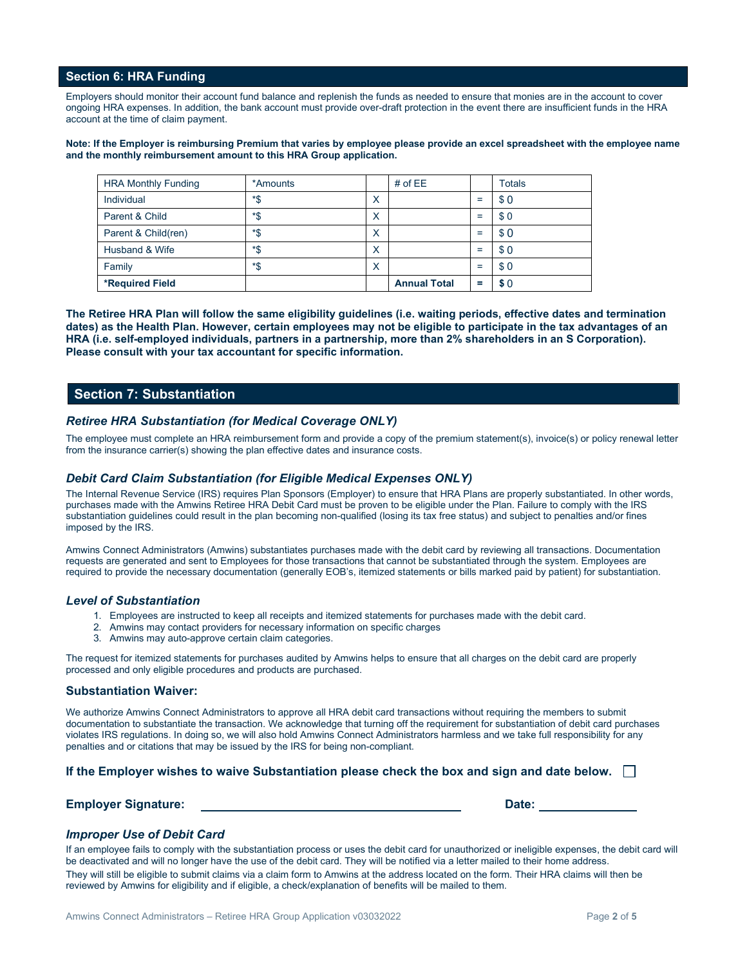### **Section 6: HRA Funding**

Employers should monitor their account fund balance and replenish the funds as needed to ensure that monies are in the account to cover ongoing HRA expenses. In addition, the bank account must provide over-draft protection in the event there are insufficient funds in the HRA account at the time of claim payment.

**Note: If the Employer is reimbursing Premium that varies by employee please provide an excel spreadsheet with the employee name and the monthly reimbursement amount to this HRA Group application.**

| <b>HRA Monthly Funding</b> | *Amounts |   | # of $EE$           |     | <b>Totals</b> |
|----------------------------|----------|---|---------------------|-----|---------------|
| Individual                 | *\$      | X |                     | Ξ   | \$0           |
| Parent & Child             | *\$      | X |                     | $=$ | \$0           |
| Parent & Child(ren)        | *\$      | X |                     | Ξ   | \$0           |
| Husband & Wife             | *\$      | X |                     | Ξ   | \$0           |
| Family                     | *\$      | X |                     | Ξ   | \$0           |
| <b>*Required Field</b>     |          |   | <b>Annual Total</b> | Ξ   | \$0           |

**The Retiree HRA Plan will follow the same eligibility guidelines (i.e. waiting periods, effective dates and termination dates) as the Health Plan. However, certain employees may not be eligible to participate in the tax advantages of an HRA (i.e. self-employed individuals, partners in a partnership, more than 2% shareholders in an S Corporation). Please consult with your tax accountant for specific information.**

# **Section 7: Substantiation**

#### *Retiree HRA Substantiation (for Medical Coverage ONLY)*

The employee must complete an HRA reimbursement form and provide a copy of the premium statement(s), invoice(s) or policy renewal letter from the insurance carrier(s) showing the plan effective dates and insurance costs.

#### *Debit Card Claim Substantiation (for Eligible Medical Expenses ONLY)*

The Internal Revenue Service (IRS) requires Plan Sponsors (Employer) to ensure that HRA Plans are properly substantiated. In other words, purchases made with the Amwins Retiree HRA Debit Card must be proven to be eligible under the Plan. Failure to comply with the IRS substantiation guidelines could result in the plan becoming non-qualified (losing its tax free status) and subject to penalties and/or fines imposed by the IRS.

Amwins Connect Administrators (Amwins) substantiates purchases made with the debit card by reviewing all transactions. Documentation requests are generated and sent to Employees for those transactions that cannot be substantiated through the system. Employees are required to provide the necessary documentation (generally EOB's, itemized statements or bills marked paid by patient) for substantiation.

#### *Level of Substantiation*

- 1. Employees are instructed to keep all receipts and itemized statements for purchases made with the debit card.
- 2. Amwins may contact providers for necessary information on specific charges
- 3. Amwins may auto-approve certain claim categories.

The request for itemized statements for purchases audited by Amwins helps to ensure that all charges on the debit card are properly processed and only eligible procedures and products are purchased.

#### **Substantiation Waiver:**

We authorize Amwins Connect Administrators to approve all HRA debit card transactions without requiring the members to submit documentation to substantiate the transaction. We acknowledge that turning off the requirement for substantiation of debit card purchases violates IRS regulations. In doing so, we will also hold Amwins Connect Administrators harmless and we take full responsibility for any penalties and or citations that may be issued by the IRS for being non-compliant.

**If the Employer wishes to waive Substantiation please check the box and sign and date below.** 

**Employer Signature:**  $\bullet$  **Date: Date: Date: Date: Date: Date: Date: Date: Date: Date: Date: Date: Date: Date: Date: Date: Date: Date: Date: Date: Date: Date: Date: Date: Da** 

#### *Improper Use of Debit Card*

If an employee fails to comply with the substantiation process or uses the debit card for unauthorized or ineligible expenses, the debit card will be deactivated and will no longer have the use of the debit card. They will be notified via a letter mailed to their home address. They will still be eligible to submit claims via a claim form to Amwins at the address located on the form. Their HRA claims will then be reviewed by Amwins for eligibility and if eligible, a check/explanation of benefits will be mailed to them.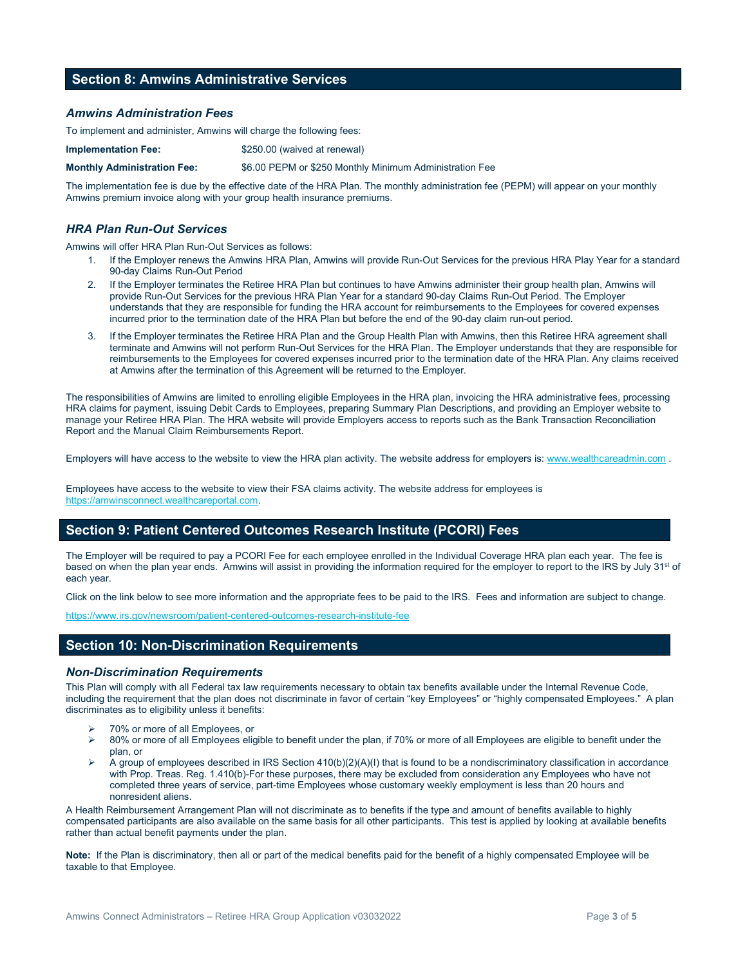# **Section 8: Amwins Administrative Services**

#### *Amwins Administration Fees*

To implement and administer, Amwins will charge the following fees:

**Implementation Fee:** \$250.00 (waived at renewal)

**Monthly Administration Fee:** \$6.00 PEPM or \$250 Monthly Minimum Administration Fee

The implementation fee is due by the effective date of the HRA Plan. The monthly administration fee (PEPM) will appear on your monthly Amwins premium invoice along with your group health insurance premiums.

### *HRA Plan Run-Out Services*

Amwins will offer HRA Plan Run-Out Services as follows:

- 1. If the Employer renews the Amwins HRA Plan, Amwins will provide Run-Out Services for the previous HRA Play Year for a standard 90-day Claims Run-Out Period
- 2. If the Employer terminates the Retiree HRA Plan but continues to have Amwins administer their group health plan, Amwins will provide Run-Out Services for the previous HRA Plan Year for a standard 90-day Claims Run-Out Period. The Employer understands that they are responsible for funding the HRA account for reimbursements to the Employees for covered expenses incurred prior to the termination date of the HRA Plan but before the end of the 90-day claim run-out period.
- 3. If the Employer terminates the Retiree HRA Plan and the Group Health Plan with Amwins, then this Retiree HRA agreement shall terminate and Amwins will not perform Run-Out Services for the HRA Plan. The Employer understands that they are responsible for reimbursements to the Employees for covered expenses incurred prior to the termination date of the HRA Plan. Any claims received at Amwins after the termination of this Agreement will be returned to the Employer.

The responsibilities of Amwins are limited to enrolling eligible Employees in the HRA plan, invoicing the HRA administrative fees, processing HRA claims for payment, issuing Debit Cards to Employees, preparing Summary Plan Descriptions, and providing an Employer website to manage your Retiree HRA Plan. The HRA website will provide Employers access to reports such as the Bank Transaction Reconciliation Report and the Manual Claim Reimbursements Report.

Employers will have access to the website to view the HRA plan activity. The website address for employers is: www.wealthcareadmin.com .

Employees have access to the website to view their FSA claims activity. The website address for employees is https://amwinsconnect.wealthcareportal.com.

# **Section 9: Patient Centered Outcomes Research Institute (PCORI) Fees**

The Employer will be required to pay a PCORI Fee for each employee enrolled in the Individual Coverage HRA plan each year. The fee is based on when the plan year ends. Amwins will assist in providing the information required for the employer to report to the IRS by July 31<sup>st</sup> of each year.

Click on the link below to see more information and the appropriate fees to be paid to the IRS. Fees and information are subject to change.

https://www.irs.gov/newsroom/patient-centered-outcomes-research-institute-fee

# **Section 10: Non-Discrimination Requirements**

#### *Non-Discrimination Requirements*

This Plan will comply with all Federal tax law requirements necessary to obtain tax benefits available under the Internal Revenue Code, including the requirement that the plan does not discriminate in favor of certain "key Employees" or "highly compensated Employees." A plan discriminates as to eligibility unless it benefits:

- $\geq$  70% or more of all Employees, or<br> $\geq$  80% or more of all Employees elic
- 80% or more of all Employees eligible to benefit under the plan, if 70% or more of all Employees are eligible to benefit under the plan, or
- A group of employees described in IRS Section 410(b)(2)(A)(I) that is found to be a nondiscriminatory classification in accordance with Prop. Treas. Reg. 1.410(b)-For these purposes, there may be excluded from consideration any Employees who have not completed three years of service, part-time Employees whose customary weekly employment is less than 20 hours and nonresident aliens.

A Health Reimbursement Arrangement Plan will not discriminate as to benefits if the type and amount of benefits available to highly compensated participants are also available on the same basis for all other participants. This test is applied by looking at available benefits rather than actual benefit payments under the plan.

Note: If the Plan is discriminatory, then all or part of the medical benefits paid for the benefit of a highly compensated Employee will be taxable to that Employee.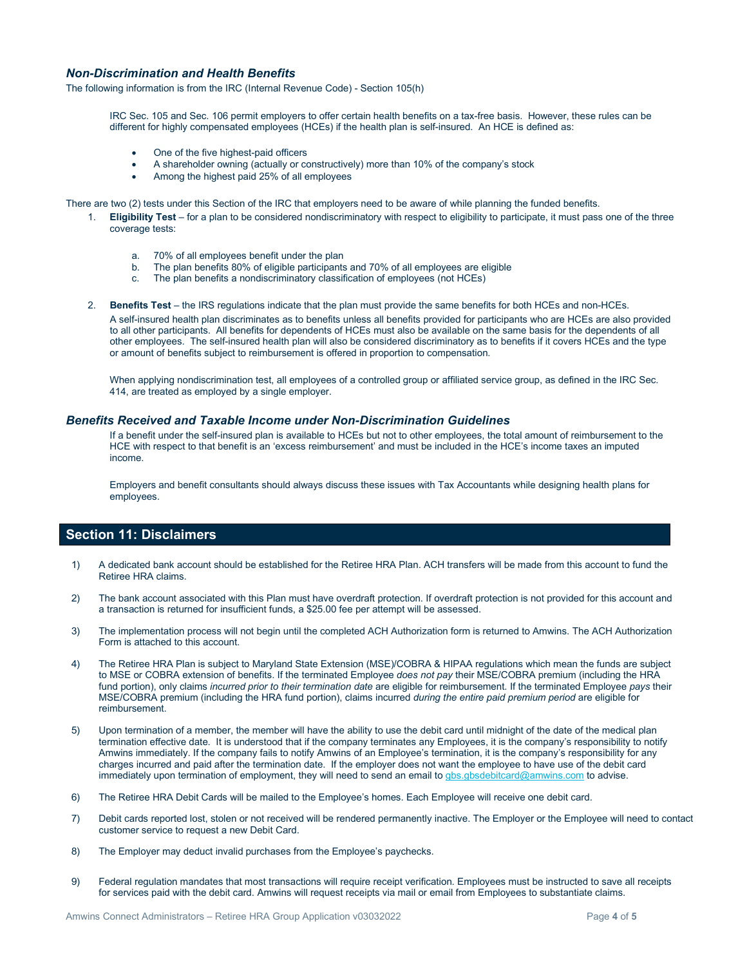### *Non-Discrimination and Health Benefits*

The following information is from the IRC (Internal Revenue Code) - Section 105(h)

IRC Sec. 105 and Sec. 106 permit employers to offer certain health benefits on a tax-free basis. However, these rules can be different for highly compensated employees (HCEs) if the health plan is self-insured. An HCE is defined as:

- One of the five highest-paid officers
- A shareholder owning (actually or constructively) more than 10% of the company's stock
- Among the highest paid 25% of all employees

There are two (2) tests under this Section of the IRC that employers need to be aware of while planning the funded benefits.

- 1. **Eligibility Test** for a plan to be considered nondiscriminatory with respect to eligibility to participate, it must pass one of the three coverage tests:
	- a. 70% of all employees benefit under the plan<br>b. The plan benefits 80% of eligible participants
	- The plan benefits 80% of eligible participants and 70% of all employees are eligible
	- c. The plan benefits a nondiscriminatory classification of employees (not HCEs)

2. **Benefits Test** – the IRS regulations indicate that the plan must provide the same benefits for both HCEs and non-HCEs. A self-insured health plan discriminates as to benefits unless all benefits provided for participants who are HCEs are also provided to all other participants. All benefits for dependents of HCEs must also be available on the same basis for the dependents of all other employees. The self-insured health plan will also be considered discriminatory as to benefits if it covers HCEs and the type or amount of benefits subject to reimbursement is offered in proportion to compensation.

When applying nondiscrimination test, all employees of a controlled group or affiliated service group, as defined in the IRC Sec. 414, are treated as employed by a single employer.

#### *Benefits Received and Taxable Income under Non-Discrimination Guidelines*

If a benefit under the self-insured plan is available to HCEs but not to other employees, the total amount of reimbursement to the HCE with respect to that benefit is an 'excess reimbursement' and must be included in the HCE's income taxes an imputed income.

Employers and benefit consultants should always discuss these issues with Tax Accountants while designing health plans for employees.

# **Section 11: Disclaimers**

- 1) A dedicated bank account should be established for the Retiree HRA Plan. ACH transfers will be made from this account to fund the Retiree HRA claims.
- 2) The bank account associated with this Plan must have overdraft protection. If overdraft protection is not provided for this account and a transaction is returned for insufficient funds, a \$25.00 fee per attempt will be assessed.
- 3) The implementation process will not begin until the completed ACH Authorization form is returned to Amwins. The ACH Authorization Form is attached to this account.
- 4) The Retiree HRA Plan is subject to Maryland State Extension (MSE)/COBRA & HIPAA regulations which mean the funds are subject to MSE or COBRA extension of benefits. If the terminated Employee *does not pay* their MSE/COBRA premium (including the HRA fund portion), only claims *incurred prior to their termination date* are eligible for reimbursement. If the terminated Employee *pays* their MSE/COBRA premium (including the HRA fund portion), claims incurred *during the entire paid premium period* are eligible for reimbursement.
- 5) Upon termination of a member, the member will have the ability to use the debit card until midnight of the date of the medical plan termination effective date. It is understood that if the company terminates any Employees, it is the company's responsibility to notify Amwins immediately. If the company fails to notify Amwins of an Employee's termination, it is the company's responsibility for any charges incurred and paid after the termination date. If the employer does not want the employee to have use of the debit card immediately upon termination of employment, they will need to send an email to qbs.gbsdebitcard@amwins.com to advise.
- 6) The Retiree HRA Debit Cards will be mailed to the Employee's homes. Each Employee will receive one debit card.
- 7) Debit cards reported lost, stolen or not received will be rendered permanently inactive. The Employer or the Employee will need to contact customer service to request a new Debit Card.
- 8) The Employer may deduct invalid purchases from the Employee's paychecks.
- 9) Federal regulation mandates that most transactions will require receipt verification. Employees must be instructed to save all receipts for services paid with the debit card. Amwins will request receipts via mail or email from Employees to substantiate claims.